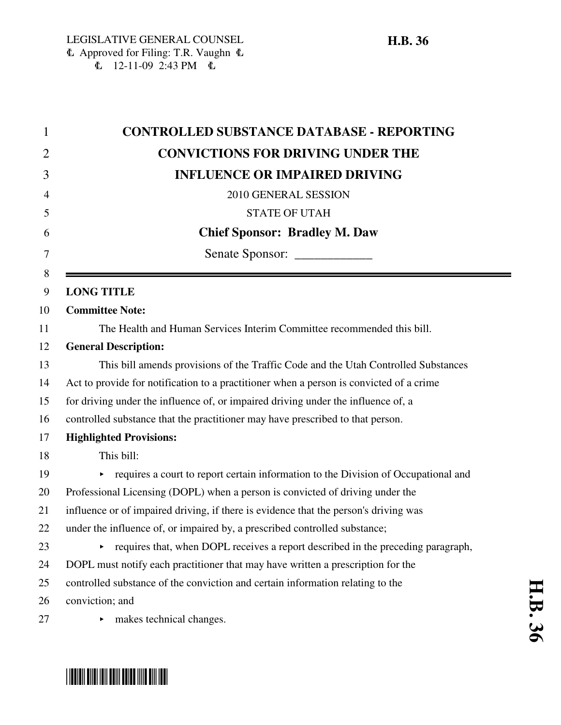| <b>CONTROLLED SUBSTANCE DATABASE - REPORTING</b>                                        |  |  |  |  |  |  |
|-----------------------------------------------------------------------------------------|--|--|--|--|--|--|
| <b>CONVICTIONS FOR DRIVING UNDER THE</b>                                                |  |  |  |  |  |  |
| <b>INFLUENCE OR IMPAIRED DRIVING</b>                                                    |  |  |  |  |  |  |
| 2010 GENERAL SESSION                                                                    |  |  |  |  |  |  |
| <b>STATE OF UTAH</b>                                                                    |  |  |  |  |  |  |
| <b>Chief Sponsor: Bradley M. Daw</b>                                                    |  |  |  |  |  |  |
|                                                                                         |  |  |  |  |  |  |
| <b>LONG TITLE</b>                                                                       |  |  |  |  |  |  |
| <b>Committee Note:</b>                                                                  |  |  |  |  |  |  |
| The Health and Human Services Interim Committee recommended this bill.                  |  |  |  |  |  |  |
| <b>General Description:</b>                                                             |  |  |  |  |  |  |
| This bill amends provisions of the Traffic Code and the Utah Controlled Substances      |  |  |  |  |  |  |
| Act to provide for notification to a practitioner when a person is convicted of a crime |  |  |  |  |  |  |
| for driving under the influence of, or impaired driving under the influence of, a       |  |  |  |  |  |  |
| controlled substance that the practitioner may have prescribed to that person.          |  |  |  |  |  |  |
| <b>Highlighted Provisions:</b>                                                          |  |  |  |  |  |  |
| This bill:                                                                              |  |  |  |  |  |  |
| requires a court to report certain information to the Division of Occupational and<br>► |  |  |  |  |  |  |
| Professional Licensing (DOPL) when a person is convicted of driving under the           |  |  |  |  |  |  |
| influence or of impaired driving, if there is evidence that the person's driving was    |  |  |  |  |  |  |
| under the influence of, or impaired by, a prescribed controlled substance;              |  |  |  |  |  |  |
| requires that, when DOPL receives a report described in the preceding paragraph,<br>▶   |  |  |  |  |  |  |
| DOPL must notify each practitioner that may have written a prescription for the         |  |  |  |  |  |  |
| controlled substance of the conviction and certain information relating to the          |  |  |  |  |  |  |
| conviction; and                                                                         |  |  |  |  |  |  |
| makes technical changes.                                                                |  |  |  |  |  |  |



# \*HB0036\*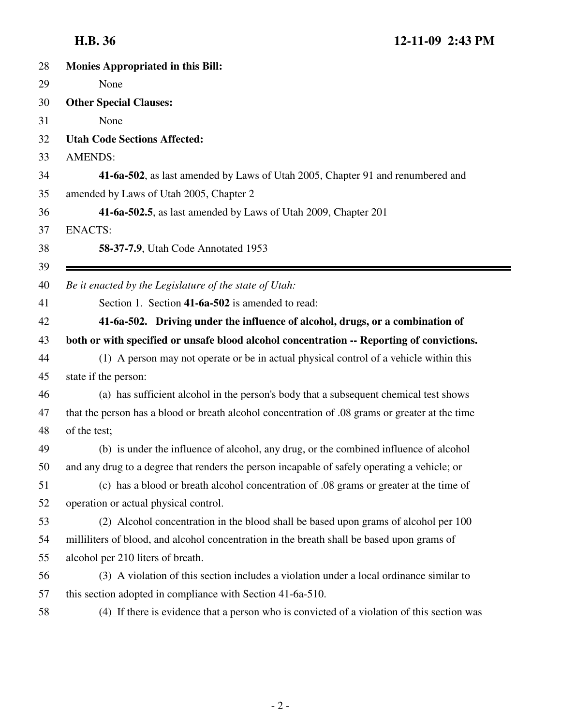| 28 | <b>Monies Appropriated in this Bill:</b>                                                        |  |  |  |  |  |  |
|----|-------------------------------------------------------------------------------------------------|--|--|--|--|--|--|
| 29 | None                                                                                            |  |  |  |  |  |  |
| 30 | <b>Other Special Clauses:</b>                                                                   |  |  |  |  |  |  |
| 31 | None                                                                                            |  |  |  |  |  |  |
| 32 | <b>Utah Code Sections Affected:</b>                                                             |  |  |  |  |  |  |
| 33 | <b>AMENDS:</b>                                                                                  |  |  |  |  |  |  |
| 34 | 41-6a-502, as last amended by Laws of Utah 2005, Chapter 91 and renumbered and                  |  |  |  |  |  |  |
| 35 | amended by Laws of Utah 2005, Chapter 2                                                         |  |  |  |  |  |  |
| 36 | 41-6a-502.5, as last amended by Laws of Utah 2009, Chapter 201                                  |  |  |  |  |  |  |
| 37 | <b>ENACTS:</b>                                                                                  |  |  |  |  |  |  |
| 38 | 58-37-7.9, Utah Code Annotated 1953                                                             |  |  |  |  |  |  |
| 39 |                                                                                                 |  |  |  |  |  |  |
| 40 | Be it enacted by the Legislature of the state of Utah:                                          |  |  |  |  |  |  |
| 41 | Section 1. Section 41-6a-502 is amended to read:                                                |  |  |  |  |  |  |
| 42 | 41-6a-502. Driving under the influence of alcohol, drugs, or a combination of                   |  |  |  |  |  |  |
| 43 | both or with specified or unsafe blood alcohol concentration -- Reporting of convictions.       |  |  |  |  |  |  |
| 44 | (1) A person may not operate or be in actual physical control of a vehicle within this          |  |  |  |  |  |  |
| 45 | state if the person:                                                                            |  |  |  |  |  |  |
| 46 | (a) has sufficient alcohol in the person's body that a subsequent chemical test shows           |  |  |  |  |  |  |
| 47 | that the person has a blood or breath alcohol concentration of .08 grams or greater at the time |  |  |  |  |  |  |
| 48 | of the test;                                                                                    |  |  |  |  |  |  |
| 49 | (b) is under the influence of alcohol, any drug, or the combined influence of alcohol           |  |  |  |  |  |  |
| 50 | and any drug to a degree that renders the person incapable of safely operating a vehicle; or    |  |  |  |  |  |  |
| 51 | (c) has a blood or breath alcohol concentration of .08 grams or greater at the time of          |  |  |  |  |  |  |
| 52 | operation or actual physical control.                                                           |  |  |  |  |  |  |
| 53 | (2) Alcohol concentration in the blood shall be based upon grams of alcohol per 100             |  |  |  |  |  |  |
| 54 | milliliters of blood, and alcohol concentration in the breath shall be based upon grams of      |  |  |  |  |  |  |
| 55 | alcohol per 210 liters of breath.                                                               |  |  |  |  |  |  |
| 56 | (3) A violation of this section includes a violation under a local ordinance similar to         |  |  |  |  |  |  |
| 57 | this section adopted in compliance with Section 41-6a-510.                                      |  |  |  |  |  |  |
| 58 | (4) If there is evidence that a person who is convicted of a violation of this section was      |  |  |  |  |  |  |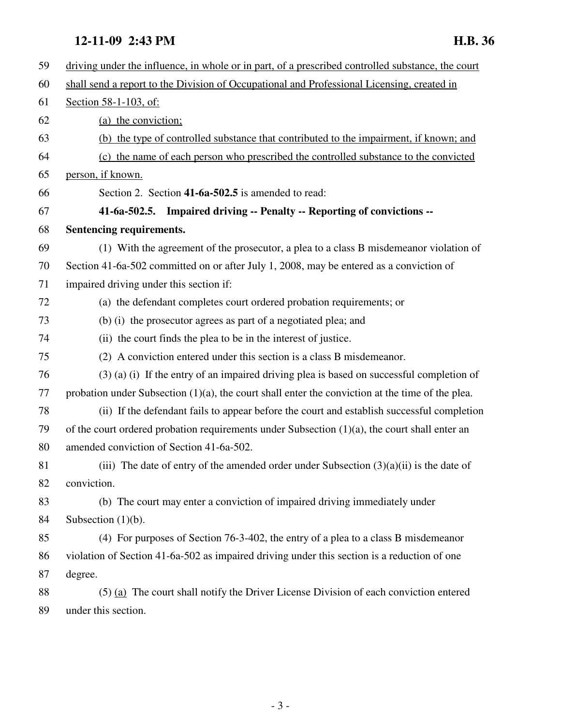# **12-11-09 2:43 PM H.B. 36**

| 59 | driving under the influence, in whole or in part, of a prescribed controlled substance, the court   |
|----|-----------------------------------------------------------------------------------------------------|
| 60 | shall send a report to the Division of Occupational and Professional Licensing, created in          |
| 61 | Section 58-1-103, of:                                                                               |
| 62 | (a) the conviction;                                                                                 |
| 63 | (b) the type of controlled substance that contributed to the impairment, if known; and              |
| 64 | (c) the name of each person who prescribed the controlled substance to the convicted                |
| 65 | person, if known.                                                                                   |
| 66 | Section 2. Section 41-6a-502.5 is amended to read:                                                  |
| 67 | 41-6a-502.5. Impaired driving -- Penalty -- Reporting of convictions --                             |
| 68 | Sentencing requirements.                                                                            |
| 69 | (1) With the agreement of the prosecutor, a plea to a class B misdemeanor violation of              |
| 70 | Section 41-6a-502 committed on or after July 1, 2008, may be entered as a conviction of             |
| 71 | impaired driving under this section if:                                                             |
| 72 | (a) the defendant completes court ordered probation requirements; or                                |
| 73 | (b) (i) the prosecutor agrees as part of a negotiated plea; and                                     |
| 74 | (ii) the court finds the plea to be in the interest of justice.                                     |
| 75 | (2) A conviction entered under this section is a class B misdemeanor.                               |
| 76 | (3) (a) (i) If the entry of an impaired driving plea is based on successful completion of           |
| 77 | probation under Subsection $(1)(a)$ , the court shall enter the conviction at the time of the plea. |
| 78 | (ii) If the defendant fails to appear before the court and establish successful completion          |
| 79 | of the court ordered probation requirements under Subsection $(1)(a)$ , the court shall enter an    |
| 80 | amended conviction of Section 41-6a-502.                                                            |
| 81 | (iii) The date of entry of the amended order under Subsection $(3)(a)(ii)$ is the date of           |
| 82 | conviction.                                                                                         |
| 83 | (b) The court may enter a conviction of impaired driving immediately under                          |
| 84 | Subsection $(1)(b)$ .                                                                               |
| 85 | (4) For purposes of Section 76-3-402, the entry of a plea to a class B misdemeanor                  |
| 86 | violation of Section 41-6a-502 as impaired driving under this section is a reduction of one         |
| 87 | degree.                                                                                             |
| 88 | $(5)$ (a) The court shall notify the Driver License Division of each conviction entered             |
| 89 | under this section.                                                                                 |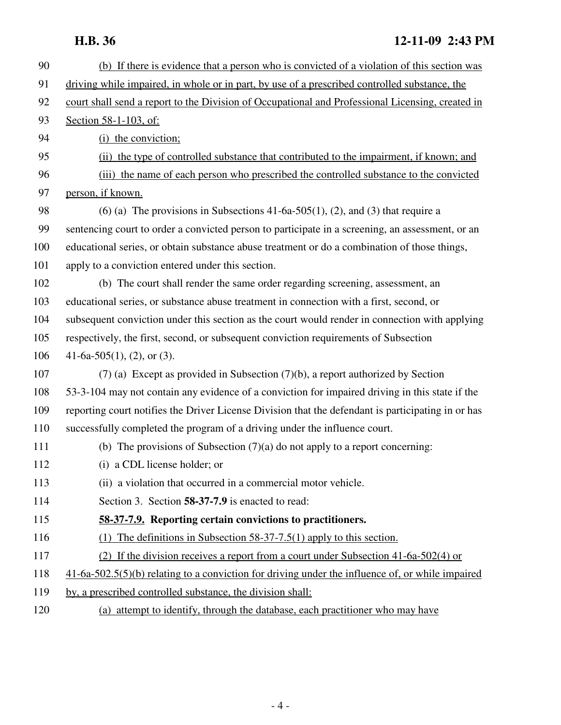## **H.B. 36 12-11-09 2:43 PM**

| 90  | (b) If there is evidence that a person who is convicted of a violation of this section was         |
|-----|----------------------------------------------------------------------------------------------------|
| 91  | driving while impaired, in whole or in part, by use of a prescribed controlled substance, the      |
| 92  | court shall send a report to the Division of Occupational and Professional Licensing, created in   |
| 93  | Section 58-1-103, of:                                                                              |
| 94  | (i) the conviction;                                                                                |
| 95  | (ii) the type of controlled substance that contributed to the impairment, if known; and            |
| 96  | (iii) the name of each person who prescribed the controlled substance to the convicted             |
| 97  | person, if known.                                                                                  |
| 98  | (6) (a) The provisions in Subsections 41-6a-505(1), (2), and (3) that require a                    |
| 99  | sentencing court to order a convicted person to participate in a screening, an assessment, or an   |
| 100 | educational series, or obtain substance abuse treatment or do a combination of those things,       |
| 101 | apply to a conviction entered under this section.                                                  |
| 102 | (b) The court shall render the same order regarding screening, assessment, an                      |
| 103 | educational series, or substance abuse treatment in connection with a first, second, or            |
| 104 | subsequent conviction under this section as the court would render in connection with applying     |
| 105 | respectively, the first, second, or subsequent conviction requirements of Subsection               |
| 106 | 41-6a-505(1), (2), or (3).                                                                         |
| 107 | $(7)$ (a) Except as provided in Subsection $(7)(b)$ , a report authorized by Section               |
| 108 | 53-3-104 may not contain any evidence of a conviction for impaired driving in this state if the    |
| 109 | reporting court notifies the Driver License Division that the defendant is participating in or has |
| 110 | successfully completed the program of a driving under the influence court.                         |
| 111 | (b) The provisions of Subsection $(7)(a)$ do not apply to a report concerning:                     |
| 112 | (i) a CDL license holder; or                                                                       |
| 113 | (ii) a violation that occurred in a commercial motor vehicle.                                      |
| 114 | Section 3. Section 58-37-7.9 is enacted to read:                                                   |
| 115 | 58-37-7.9. Reporting certain convictions to practitioners.                                         |
| 116 | (1) The definitions in Subsection 58-37-7.5(1) apply to this section.                              |
| 117 | (2) If the division receives a report from a court under Subsection 41-6a-502(4) or                |
| 118 | $41-6a-502.5(5)(b)$ relating to a conviction for driving under the influence of, or while impaired |
| 119 | by, a prescribed controlled substance, the division shall:                                         |
| 120 | (a) attempt to identify, through the database, each practitioner who may have                      |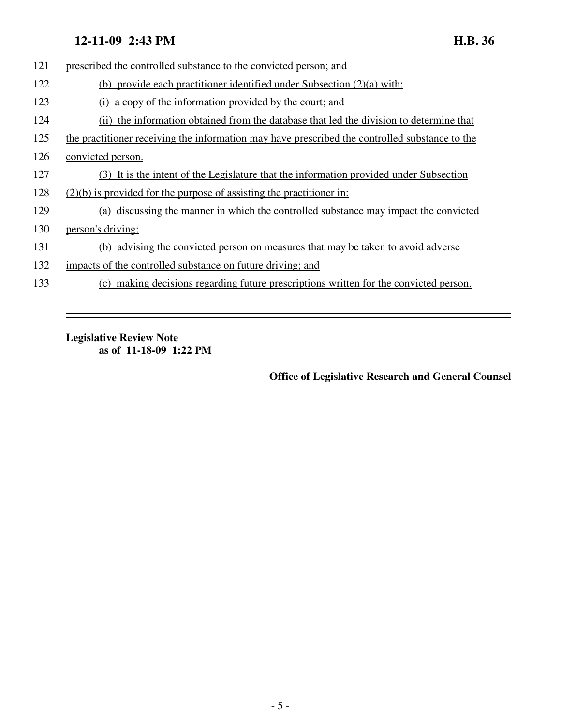### **12-11-09 2:43 PM H.B. 36**

| 121 | prescribed the controlled substance to the convicted person; and                               |
|-----|------------------------------------------------------------------------------------------------|
| 122 | (b) provide each practitioner identified under Subsection $(2)(a)$ with:                       |
| 123 | (i) a copy of the information provided by the court; and                                       |
| 124 | the information obtained from the database that led the division to determine that             |
| 125 | the practitioner receiving the information may have prescribed the controlled substance to the |
| 126 | convicted person.                                                                              |
| 127 | (3) It is the intent of the Legislature that the information provided under Subsection         |
| 128 | $(2)(b)$ is provided for the purpose of assisting the practitioner in:                         |
| 129 | (a) discussing the manner in which the controlled substance may impact the convicted           |
| 130 | person's driving;                                                                              |
| 131 | (b) advising the convicted person on measures that may be taken to avoid adverse               |
| 132 | impacts of the controlled substance on future driving; and                                     |
| 133 | (c) making decisions regarding future prescriptions written for the convicted person.          |
|     |                                                                                                |

#### **Legislative Review Note as of 11-18-09 1:22 PM**

**Office of Legislative Research and General Counsel**